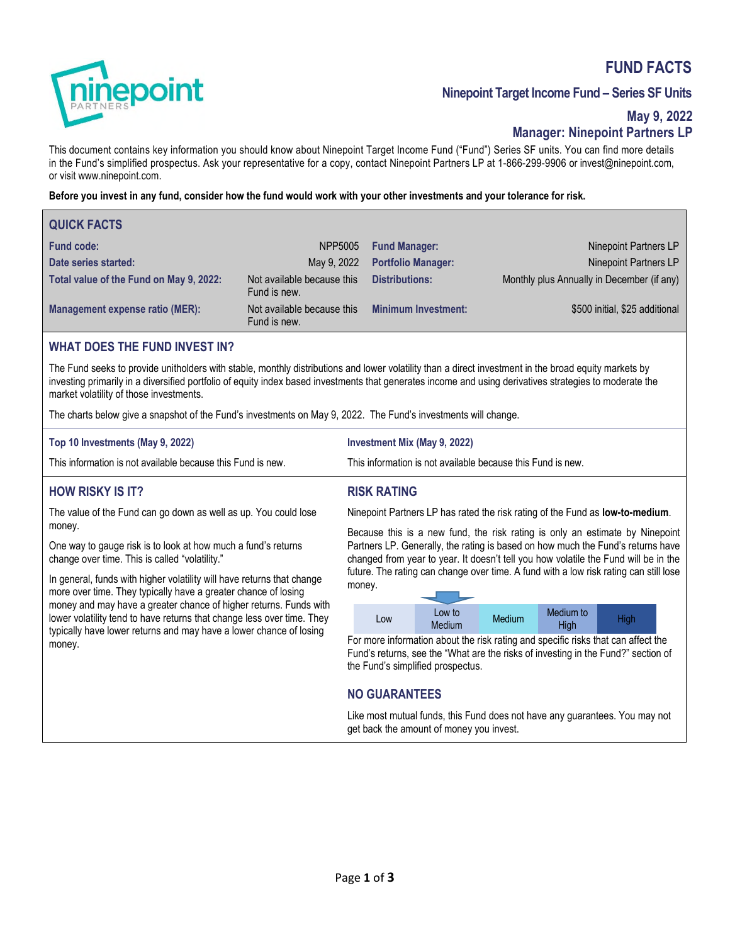# **FUND FACTS**



# **Ninepoint Target Income Fund – Series SF Units**

# **May 9, 2022 Manager: Ninepoint Partners LP**

This document contains key information you should know about Ninepoint Target Income Fund ("Fund") Series SF units. You can find more details in the Fund's simplified prospectus. Ask your representative for a copy, contact Ninepoint Partners LP at 1-866-299-9906 or invest@ninepoint.com, or visit www.ninepoint.com.

**Before you invest in any fund, consider how the fund would work with your other investments and your tolerance for risk.** 

| <b>QUICK FACTS</b>                      |                                            |                            |                                            |
|-----------------------------------------|--------------------------------------------|----------------------------|--------------------------------------------|
| <b>Fund code:</b>                       | NPP5005                                    | <b>Fund Manager:</b>       | Ninepoint Partners LP                      |
| Date series started:                    | May 9, 2022                                | <b>Portfolio Manager:</b>  | Ninepoint Partners LP                      |
| Total value of the Fund on May 9, 2022: | Not available because this<br>Fund is new. | <b>Distributions:</b>      | Monthly plus Annually in December (if any) |
| Management expense ratio (MER):         | Not available because this<br>Fund is new. | <b>Minimum Investment:</b> | \$500 initial, \$25 additional             |

### **WHAT DOES THE FUND INVEST IN?**

The Fund seeks to provide unitholders with stable, monthly distributions and lower volatility than a direct investment in the broad equity markets by investing primarily in a diversified portfolio of equity index based investments that generates income and using derivatives strategies to moderate the market volatility of those investments.

**RISK RATING** 

The charts below give a snapshot of the Fund's investments on May 9, 2022. The Fund's investments will change.

| Top 10 Investments (May 9, 2022)                            | Investment Mix (May 9, 2022)                                |
|-------------------------------------------------------------|-------------------------------------------------------------|
| This information is not available because this Fund is new. | This information is not available because this Fund is new. |

# **HOW RISKY IS IT?**

The value of the Fund can go down as well as up. You could lose money.

One way to gauge risk is to look at how much a fund's returns change over time. This is called "volatility."

In general, funds with higher volatility will have returns that change more over time. They typically have a greater chance of losing money and may have a greater chance of higher returns. Funds with lower volatility tend to have returns that change less over time. They typically have lower returns and may have a lower chance of losing money.

Ninepoint Partners LP has rated the risk rating of the Fund as **low-to-medium**.

Because this is a new fund, the risk rating is only an estimate by Ninepoint Partners LP. Generally, the rating is based on how much the Fund's returns have changed from year to year. It doesn't tell you how volatile the Fund will be in the future. The rating can change over time. A fund with a low risk rating can still lose money.

| LOW | Low to<br><b>Medium</b> | <b>Medium</b> | Medium to<br>High | High |
|-----|-------------------------|---------------|-------------------|------|

For more information about the risk rating and specific risks that can affect the Fund's returns, see the "What are the risks of investing in the Fund?" section of the Fund's simplified prospectus.

# **NO GUARANTEES**

Like most mutual funds, this Fund does not have any guarantees. You may not get back the amount of money you invest.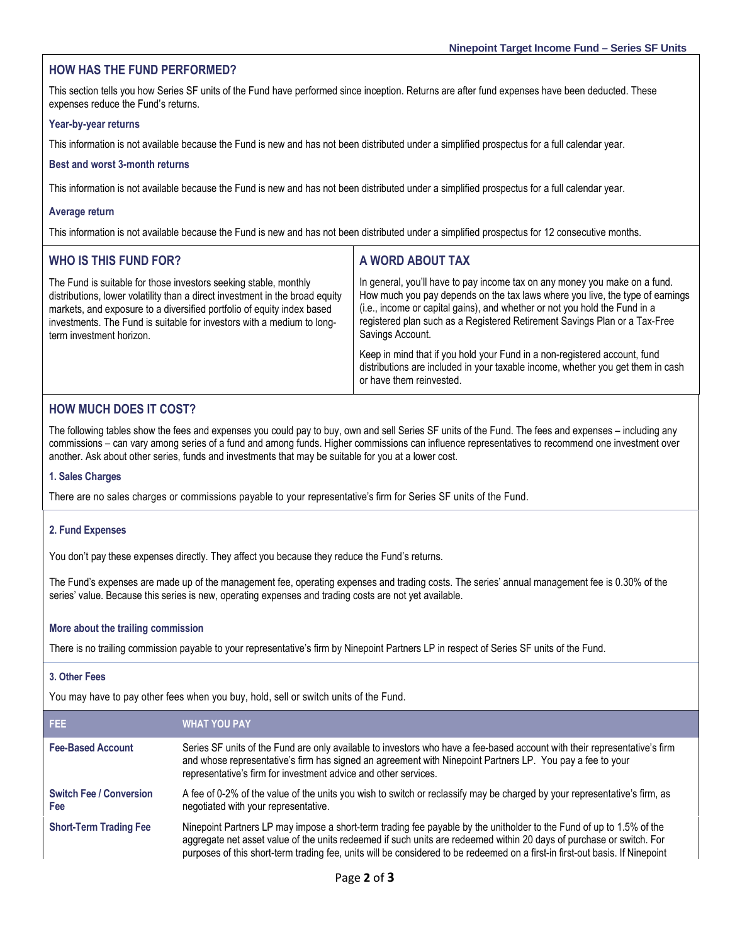### **HOW HAS THE FUND PERFORMED?**

This section tells you how Series SF units of the Fund have performed since inception. Returns are after fund expenses have been deducted. These expenses reduce the Fund's returns.

#### **Year-by-year returns**

This information is not available because the Fund is new and has not been distributed under a simplified prospectus for a full calendar year.

#### **Best and worst 3-month returns**

This information is not available because the Fund is new and has not been distributed under a simplified prospectus for a full calendar year.

#### **Average return**

This information is not available because the Fund is new and has not been distributed under a simplified prospectus for 12 consecutive months.

| <b>WHO IS THIS FUND FOR?</b>                                                                                                                                                                                                                                                                                                     | A WORD ABOUT TAX                                                                                                                                                                                                                                                                                                                            |
|----------------------------------------------------------------------------------------------------------------------------------------------------------------------------------------------------------------------------------------------------------------------------------------------------------------------------------|---------------------------------------------------------------------------------------------------------------------------------------------------------------------------------------------------------------------------------------------------------------------------------------------------------------------------------------------|
| The Fund is suitable for those investors seeking stable, monthly<br>distributions, lower volatility than a direct investment in the broad equity<br>markets, and exposure to a diversified portfolio of equity index based<br>investments. The Fund is suitable for investors with a medium to long-<br>term investment horizon. | In general, you'll have to pay income tax on any money you make on a fund.<br>How much you pay depends on the tax laws where you live, the type of earnings<br>(i.e., income or capital gains), and whether or not you hold the Fund in a<br>registered plan such as a Registered Retirement Savings Plan or a Tax-Free<br>Savings Account. |
|                                                                                                                                                                                                                                                                                                                                  | Keep in mind that if you hold your Fund in a non-registered account, fund<br>distributions are included in your taxable income, whether you get them in cash<br>or have them reinvested.                                                                                                                                                    |

### **HOW MUCH DOES IT COST?**

The following tables show the fees and expenses you could pay to buy, own and sell Series SF units of the Fund. The fees and expenses – including any commissions – can vary among series of a fund and among funds. Higher commissions can influence representatives to recommend one investment over another. Ask about other series, funds and investments that may be suitable for you at a lower cost.

#### **1. Sales Charges**

There are no sales charges or commissions payable to your representative's firm for Series SF units of the Fund.

#### **2. Fund Expenses**

You don't pay these expenses directly. They affect you because they reduce the Fund's returns.

The Fund's expenses are made up of the management fee, operating expenses and trading costs. The series' annual management fee is 0.30% of the series' value. Because this series is new, operating expenses and trading costs are not yet available.

#### **More about the trailing commission**

There is no trailing commission payable to your representative's firm by Ninepoint Partners LP in respect of Series SF units of the Fund.

#### **3. Other Fees**

You may have to pay other fees when you buy, hold, sell or switch units of the Fund.

| FEE.                                  | <b>WHAT YOU PAY</b>                                                                                                                                                                                                                                                                                                                                                          |
|---------------------------------------|------------------------------------------------------------------------------------------------------------------------------------------------------------------------------------------------------------------------------------------------------------------------------------------------------------------------------------------------------------------------------|
| <b>Fee-Based Account</b>              | Series SF units of the Fund are only available to investors who have a fee-based account with their representative's firm<br>and whose representative's firm has signed an agreement with Ninepoint Partners LP. You pay a fee to your<br>representative's firm for investment advice and other services.                                                                    |
| <b>Switch Fee / Conversion</b><br>Fee | A fee of 0-2% of the value of the units you wish to switch or reclassify may be charged by your representative's firm, as<br>negotiated with your representative.                                                                                                                                                                                                            |
| <b>Short-Term Trading Fee</b>         | Ninepoint Partners LP may impose a short-term trading fee payable by the unitholder to the Fund of up to 1.5% of the<br>aggregate net asset value of the units redeemed if such units are redeemed within 20 days of purchase or switch. For<br>purposes of this short-term trading fee, units will be considered to be redeemed on a first-in first-out basis. If Ninepoint |